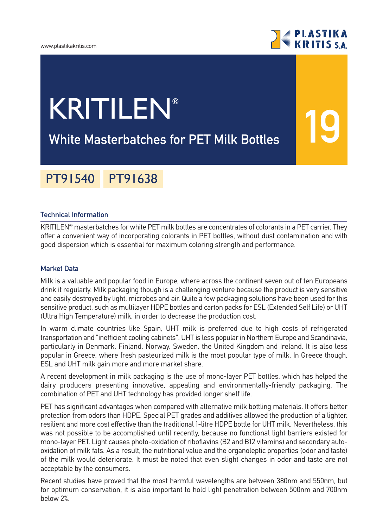

**19**

# KRITILEN**®**

### **White Masterbatches for PET Milk Bottles**

## PT91540 PT91638

#### **Technical Information**

KRITILEN® masterbatches for white PET milk bottles are concentrates of colorants in a PET carrier. They offer a convenient way of incorporating colorants in PET bottles, without dust contamination and with good dispersion which is essential for maximum coloring strength and performance.

#### **Market Data**

Milk is a valuable and popular food in Europe, where across the continent seven out of ten Europeans drink it regularly. Milk packaging though is a challenging venture because the product is very sensitive and easily destroyed by light, microbes and air. Quite a few packaging solutions have been used for this sensitive product, such as multilayer HDPE bottles and carton packs for ESL (Extended Self Life) or UHT (Ultra High Temperature) milk, in order to decrease the production cost.

In warm climate countries like Spain, UHT milk is preferred due to high costs of refrigerated transportation and "inefficient cooling cabinets". UHT is less popular in Northern Europe and Scandinavia, particularly in Denmark, Finland, Norway, Sweden, the United Kingdom and Ireland. It is also less popular in Greece, where fresh pasteurized milk is the most popular type of milk. In Greece though, ESL and UHT milk gain more and more market share.

A recent development in milk packaging is the use of mono-layer PET bottles, which has helped the dairy producers presenting innovative, appealing and environmentally-friendly packaging. The combination of PET and UHT technology has provided longer shelf life.

PET has significant advantages when compared with alternative milk bottling materials. It offers better protection from odors than HDPE. Special PET grades and additives allowed the production of a lighter, resilient and more cost effective than the traditional 1-litre HDPE bottle for UHT milk. Nevertheless, this was not possible to be accomplished until recently, because no functional light barriers existed for mono-layer PET. Light causes photo-oxidation of riboflavins (B2 and B12 vitamins) and secondary autooxidation of milk fats. As a result, the nutritional value and the organoleptic properties (odor and taste) of the milk would deteriorate. It must be noted that even slight changes in odor and taste are not acceptable by the consumers.

Recent studies have proved that the most harmful wavelengths are between 380nm and 550nm, but for optimum conservation, it is also important to hold light penetration between 500nm and 700nm below 2%.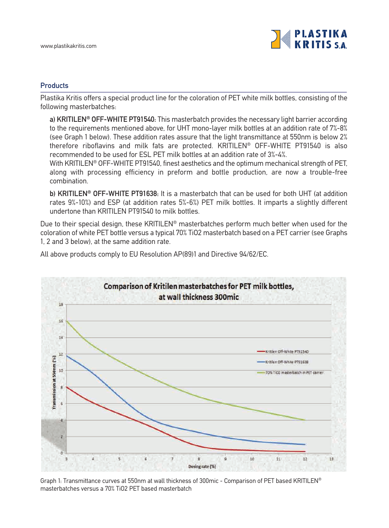

#### **Products**

Plastika Kritis offers a special product line for the coloration of PET white milk bottles, consisting of the following masterbatches:

**a) KRITILEN® OFF-WHITE PT91540:** This masterbatch provides the necessary light barrier according to the requirements mentioned above, for UHT mono-layer milk bottles at an addition rate of 7%-8% (see Graph 1 below). These addition rates assure that the light transmittance at 550nm is below 2% therefore riboflavins and milk fats are protected. KRITILEN® OFF-WHITE PT91540 is also recommended to be used for ESL PET milk bottles at an addition rate of 3%-4%.

With KRITILEN<sup>®</sup> OFF-WHITE PT91540, finest aesthetics and the optimum mechanical strength of PET, along with processing efficiency in preform and bottle production, are now a trouble-free combination.

**b) KRITILEN® OFF-WHITE PT91638:** It is a masterbatch that can be used for both UHT (at addition rates 9%-10%) and ESP (at addition rates 5%-6%) PET milk bottles. It imparts a slightly different undertone than KRITILEN PT91540 to milk bottles.

Due to their special design, these KRITILEN® masterbatches perform much better when used for the coloration of white PET bottle versus a typical 70% TiO2 masterbatch based on a PET carrier (see Graphs 1, 2 and 3 below), at the same addition rate.

All above products comply to EU Resolution AP(89)1 and Directive 94/62/EC.



Graph 1: Transmittance curves at 550nm at wall thickness of 300mic - Comparison of PET based KRITILEN® masterbatches versus a 70% TiO2 PET based masterbatch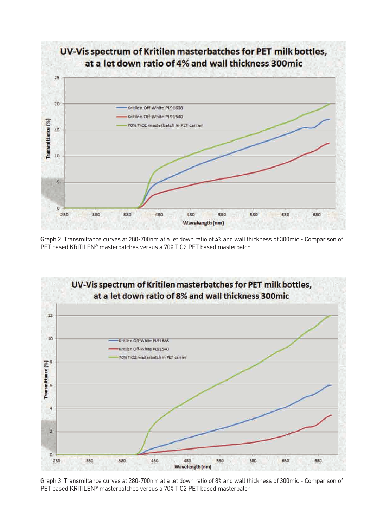

Graph 2: Transmittance curves at 280-700nm at a let down ratio of 4% and wall thickness of 300mic - Comparison of PET based KRITILEN® masterbatches versus a 70% TiO2 PET based masterbatch



Graph 3: Transmittance curves at 280-700nm at a let down ratio of 8% and wall thickness of 300mic - Comparison of PET based KRITILEN® masterbatches versus a 70% TiO2 PET based masterbatch